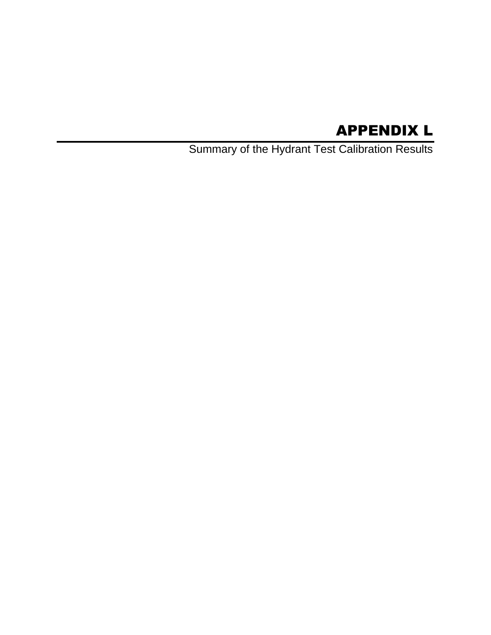# APPENDIX L

Summary of the Hydrant Test Calibration Results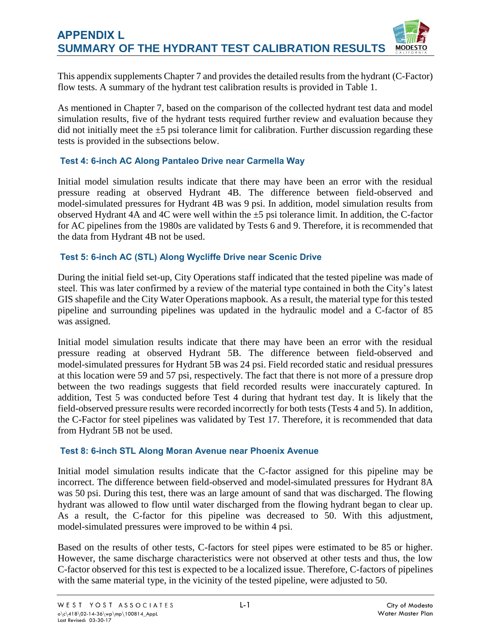This appendix supplements Chapter 7 and provides the detailed results from the hydrant (C-Factor) flow tests. A summary of the hydrant test calibration results is provided in Table 1.

As mentioned in Chapter 7, based on the comparison of the collected hydrant test data and model simulation results, five of the hydrant tests required further review and evaluation because they did not initially meet the  $\pm 5$  psi tolerance limit for calibration. Further discussion regarding these tests is provided in the subsections below.

## **Test 4: 6-inch AC Along Pantaleo Drive near Carmella Way**

Initial model simulation results indicate that there may have been an error with the residual pressure reading at observed Hydrant 4B. The difference between field-observed and model-simulated pressures for Hydrant 4B was 9 psi. In addition, model simulation results from observed Hydrant 4A and 4C were well within the ±5 psi tolerance limit. In addition, the C-factor for AC pipelines from the 1980s are validated by Tests 6 and 9. Therefore, it is recommended that the data from Hydrant 4B not be used.

## **Test 5: 6-inch AC (STL) Along Wycliffe Drive near Scenic Drive**

During the initial field set-up, City Operations staff indicated that the tested pipeline was made of steel. This was later confirmed by a review of the material type contained in both the City's latest GIS shapefile and the City Water Operations mapbook. As a result, the material type for this tested pipeline and surrounding pipelines was updated in the hydraulic model and a C-factor of 85 was assigned.

Initial model simulation results indicate that there may have been an error with the residual pressure reading at observed Hydrant 5B. The difference between field-observed and model-simulated pressures for Hydrant 5B was 24 psi. Field recorded static and residual pressures at this location were 59 and 57 psi, respectively. The fact that there is not more of a pressure drop between the two readings suggests that field recorded results were inaccurately captured. In addition, Test 5 was conducted before Test 4 during that hydrant test day. It is likely that the field-observed pressure results were recorded incorrectly for both tests (Tests 4 and 5). In addition, the C-Factor for steel pipelines was validated by Test 17. Therefore, it is recommended that data from Hydrant 5B not be used.

### **Test 8: 6-inch STL Along Moran Avenue near Phoenix Avenue**

Initial model simulation results indicate that the C-factor assigned for this pipeline may be incorrect. The difference between field-observed and model-simulated pressures for Hydrant 8A was 50 psi. During this test, there was an large amount of sand that was discharged. The flowing hydrant was allowed to flow until water discharged from the flowing hydrant began to clear up. As a result, the C-factor for this pipeline was decreased to 50. With this adjustment, model-simulated pressures were improved to be within 4 psi.

Based on the results of other tests, C-factors for steel pipes were estimated to be 85 or higher. However, the same discharge characteristics were not observed at other tests and thus, the low C-factor observed for this test is expected to be a localized issue. Therefore, C-factors of pipelines with the same material type, in the vicinity of the tested pipeline, were adjusted to 50.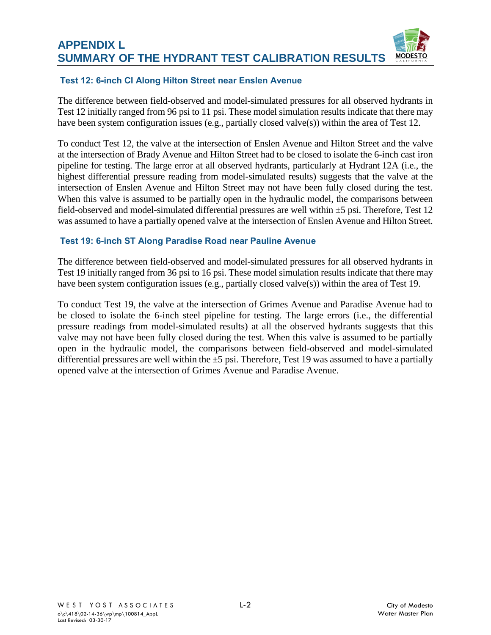#### **APPENDIX L SUMMARY OF THE HYDRANT TEST CALIBRATION RESULTS MODESTO**

## **Test 12: 6-inch CI Along Hilton Street near Enslen Avenue**

The difference between field-observed and model-simulated pressures for all observed hydrants in Test 12 initially ranged from 96 psi to 11 psi. These model simulation results indicate that there may have been system configuration issues (e.g., partially closed valve(s)) within the area of Test 12.

To conduct Test 12, the valve at the intersection of Enslen Avenue and Hilton Street and the valve at the intersection of Brady Avenue and Hilton Street had to be closed to isolate the 6-inch cast iron pipeline for testing. The large error at all observed hydrants, particularly at Hydrant 12A (i.e., the highest differential pressure reading from model-simulated results) suggests that the valve at the intersection of Enslen Avenue and Hilton Street may not have been fully closed during the test. When this valve is assumed to be partially open in the hydraulic model, the comparisons between field-observed and model-simulated differential pressures are well within ±5 psi. Therefore, Test 12 was assumed to have a partially opened valve at the intersection of Enslen Avenue and Hilton Street.

### **Test 19: 6-inch ST Along Paradise Road near Pauline Avenue**

The difference between field-observed and model-simulated pressures for all observed hydrants in Test 19 initially ranged from 36 psi to 16 psi. These model simulation results indicate that there may have been system configuration issues (e.g., partially closed valve(s)) within the area of Test 19.

To conduct Test 19, the valve at the intersection of Grimes Avenue and Paradise Avenue had to be closed to isolate the 6-inch steel pipeline for testing. The large errors (i.e., the differential pressure readings from model-simulated results) at all the observed hydrants suggests that this valve may not have been fully closed during the test. When this valve is assumed to be partially open in the hydraulic model, the comparisons between field-observed and model-simulated differential pressures are well within the  $\pm$ 5 psi. Therefore, Test 19 was assumed to have a partially opened valve at the intersection of Grimes Avenue and Paradise Avenue.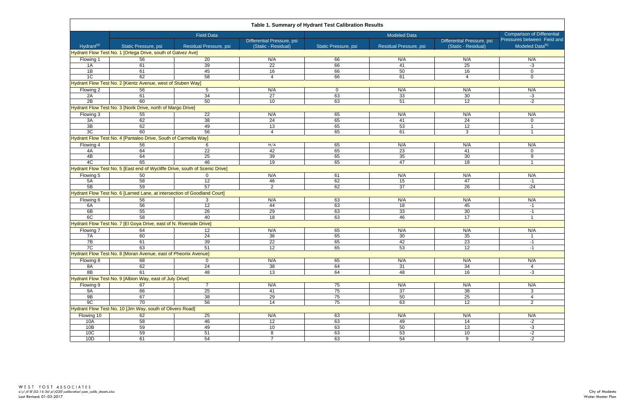| Table 1. Summary of Hydrant Test Calibration Results |                                                                             |                        |                                                   |                      |                        |                                                   |                                                            |  |  |  |  |
|------------------------------------------------------|-----------------------------------------------------------------------------|------------------------|---------------------------------------------------|----------------------|------------------------|---------------------------------------------------|------------------------------------------------------------|--|--|--|--|
|                                                      | <b>Field Data</b>                                                           |                        |                                                   |                      |                        | <b>Comparison of Differential</b>                 |                                                            |  |  |  |  |
| Hydran <sup>(a)</sup>                                | Static Pressure, psi                                                        | Residual Pressure, psi | Differential Pressure, psi<br>(Static - Residual) | Static Pressure, psi | Residual Pressure, psi | Differential Pressure, psi<br>(Static - Residual) | Pressures between Field and<br>Modeled Data <sup>(b)</sup> |  |  |  |  |
|                                                      | Hydrant Flow Test No. 1 [Ortega Drive, south of Galvez Ave]                 |                        |                                                   |                      |                        |                                                   |                                                            |  |  |  |  |
| Flowing 1                                            | 56                                                                          | 20                     | N/A                                               | 66                   | N/A                    | N/A                                               | N/A                                                        |  |  |  |  |
| 1A                                                   | 61                                                                          | 39                     | 22                                                | 66                   | 41                     | 25                                                | -3                                                         |  |  |  |  |
| $\overline{AB}$                                      | 61                                                                          | 45                     | 16                                                | 66                   | 50                     | 16                                                | 0                                                          |  |  |  |  |
| 1C                                                   | 62                                                                          | 58                     | $\overline{4}$                                    | 66                   | 61                     | $\overline{4}$                                    | 0                                                          |  |  |  |  |
|                                                      | Hydrant Flow Test No. 2 [Kientz Avenue, west of Stuben Way]                 |                        |                                                   |                      |                        |                                                   |                                                            |  |  |  |  |
| Flowing 2                                            | 56                                                                          | $5\phantom{.0}$        | N/A                                               | $\mathbf 0$          | N/A                    | N/A                                               | N/A                                                        |  |  |  |  |
| 2A                                                   | 61                                                                          | 34                     | 27                                                | 63                   | 33                     | 30                                                | $-3$                                                       |  |  |  |  |
| 2B                                                   | 60                                                                          | 50                     | 10                                                | 63                   | 51                     | 12                                                | $-2$                                                       |  |  |  |  |
|                                                      | Hydrant Flow Test No. 3 [Norik Drive, north of Margo Drive]                 |                        |                                                   |                      |                        |                                                   |                                                            |  |  |  |  |
| Flowing 3                                            | 55                                                                          | 22                     | N/A                                               | 65                   | N/A                    | N/A                                               | N/A                                                        |  |  |  |  |
| 3A                                                   | 62                                                                          | 38                     | 24                                                | 65                   | 41                     | 24                                                | 0                                                          |  |  |  |  |
| 3B                                                   | 62                                                                          | 49                     | 13                                                | 65                   | 53                     | 12                                                | 1                                                          |  |  |  |  |
| 3C                                                   | 60                                                                          | 56                     | $\overline{4}$                                    | 65                   | 61                     | $\mathbf{3}$                                      | $\mathbf{1}$                                               |  |  |  |  |
|                                                      | Hydrant Flow Test No. 4 [Pantaleo Drive, South of Carmella Way]             |                        |                                                   |                      |                        |                                                   |                                                            |  |  |  |  |
| Flowing 4                                            | 56                                                                          | 6                      | N/A                                               | 65                   | N/A                    | N/A                                               | N/A                                                        |  |  |  |  |
| 4A                                                   | 64                                                                          | 22                     | 42                                                | 65                   | 23                     | 41                                                | 0                                                          |  |  |  |  |
| 4B                                                   | 64                                                                          | 25                     | 39                                                | 65                   | 35                     | 30                                                | 9                                                          |  |  |  |  |
| $\overline{4C}$                                      | 65                                                                          | 46                     | 19                                                | 65                   | 47                     | 18                                                | $\overline{1}$                                             |  |  |  |  |
|                                                      | Hydrant Flow Test No. 5 [East end of Wycliffe Drive, south of Scenic Drive] |                        |                                                   |                      |                        |                                                   |                                                            |  |  |  |  |
| Flowing 5                                            | 50                                                                          | $\mathbf{0}$           | N/A                                               | 61                   | N/A                    | N/A                                               | N/A                                                        |  |  |  |  |
| 5A                                                   | 58                                                                          | 12                     | 46                                                | 62                   | 15                     | 47                                                | $-1$                                                       |  |  |  |  |
| 5B                                                   | 59                                                                          | 57                     | $\overline{2}$                                    | 62                   | 37                     | 26                                                | $-24$                                                      |  |  |  |  |
|                                                      | Hydrant Flow Test No. 6 [Larned Lane, at intersection of Goodland Court]    |                        |                                                   |                      |                        |                                                   |                                                            |  |  |  |  |
| Flowing 6                                            | 56                                                                          | 3                      | N/A                                               | 63                   | N/A                    | N/A                                               | N/A                                                        |  |  |  |  |
| 6A                                                   | 56                                                                          | 12                     | 44                                                | 63                   | 18                     | 45                                                | $-1$                                                       |  |  |  |  |
| 6B                                                   | 55                                                                          | 26                     | 29                                                | 63                   | 33                     | 30                                                | $-1$                                                       |  |  |  |  |
| 6C                                                   | 58                                                                          | 40                     | 18                                                | 63                   | 46                     | $\overline{17}$                                   | $\mathbf{1}$                                               |  |  |  |  |
|                                                      | Hydrant Flow Test No. 7 [El Goya Drive, east of N. Riverside Drive]         |                        |                                                   |                      |                        |                                                   |                                                            |  |  |  |  |
| Flowing 7                                            | 64                                                                          | 12                     | N/A                                               | 65                   | N/A                    | N/A                                               | N/A                                                        |  |  |  |  |
| 7A                                                   | 60                                                                          | 24                     | 36                                                | 65                   | 30                     | 35                                                | $\mathbf{1}$                                               |  |  |  |  |
| 7B                                                   | 61                                                                          | 39                     | 22                                                | 65                   | 42                     | 23                                                | $-1$                                                       |  |  |  |  |
| 7C                                                   | 63                                                                          | 51                     | 12                                                | 65                   | 53                     | 12                                                | $-1$                                                       |  |  |  |  |
|                                                      | Hydrant Flow Test No. 8 [Moran Avenue, east of Pheonix Avenue]              |                        |                                                   |                      |                        |                                                   |                                                            |  |  |  |  |
| Flowing 8                                            | 68                                                                          | $\Omega$               | N/A                                               | 65                   | N/A                    | N/A                                               | N/A                                                        |  |  |  |  |
| 8A                                                   | 62                                                                          | $\overline{24}$        | 38                                                | 64                   | 31                     | 34                                                | 4                                                          |  |  |  |  |
| 8B                                                   | 61                                                                          | 48                     | 13                                                | 64                   | 48                     | 16                                                | $-3$                                                       |  |  |  |  |
|                                                      | Hydrant Flow Test No. 9 [Albion Way, east of July Drive]                    |                        |                                                   |                      |                        |                                                   |                                                            |  |  |  |  |
| Flowing 9                                            | 67                                                                          | $\overline{7}$         | N/A                                               | 75                   | N/A                    | N/A                                               | N/A                                                        |  |  |  |  |
| <b>9A</b>                                            | 66                                                                          | 25                     | 41                                                | 75                   | 37                     | 38                                                | 3 <sup>7</sup>                                             |  |  |  |  |
| 9B                                                   | 67                                                                          | 38                     | 29                                                | 75                   | 50                     | 25                                                | $\overline{4}$                                             |  |  |  |  |
| 9C                                                   | $\overline{70}$                                                             | 56                     | $\overline{14}$                                   | 75                   | 63                     | 12                                                | $\overline{2}$                                             |  |  |  |  |
|                                                      | Hydrant Flow Test No. 10 [Jim Way, south of Olivero Road]                   |                        |                                                   |                      |                        |                                                   |                                                            |  |  |  |  |
| Flowing 10                                           | 62                                                                          | 25                     | N/A                                               | 63                   | N/A                    | N/A                                               | N/A                                                        |  |  |  |  |
| 10A                                                  | 58                                                                          | 46                     | 12                                                | 63                   | 49                     | $\overline{14}$                                   | $-2$                                                       |  |  |  |  |
| 10B                                                  | 59                                                                          | 49                     | 10                                                | 63                   | 50                     | 13                                                | $-3$                                                       |  |  |  |  |
| 10 <sub>C</sub>                                      | 59                                                                          | 51                     | 8                                                 | 63                   | 53                     | 10                                                | $-2$                                                       |  |  |  |  |
| 10D                                                  | 61                                                                          | 54                     | $\overline{7}$                                    | 63                   | 54                     | 9                                                 | $-2$                                                       |  |  |  |  |